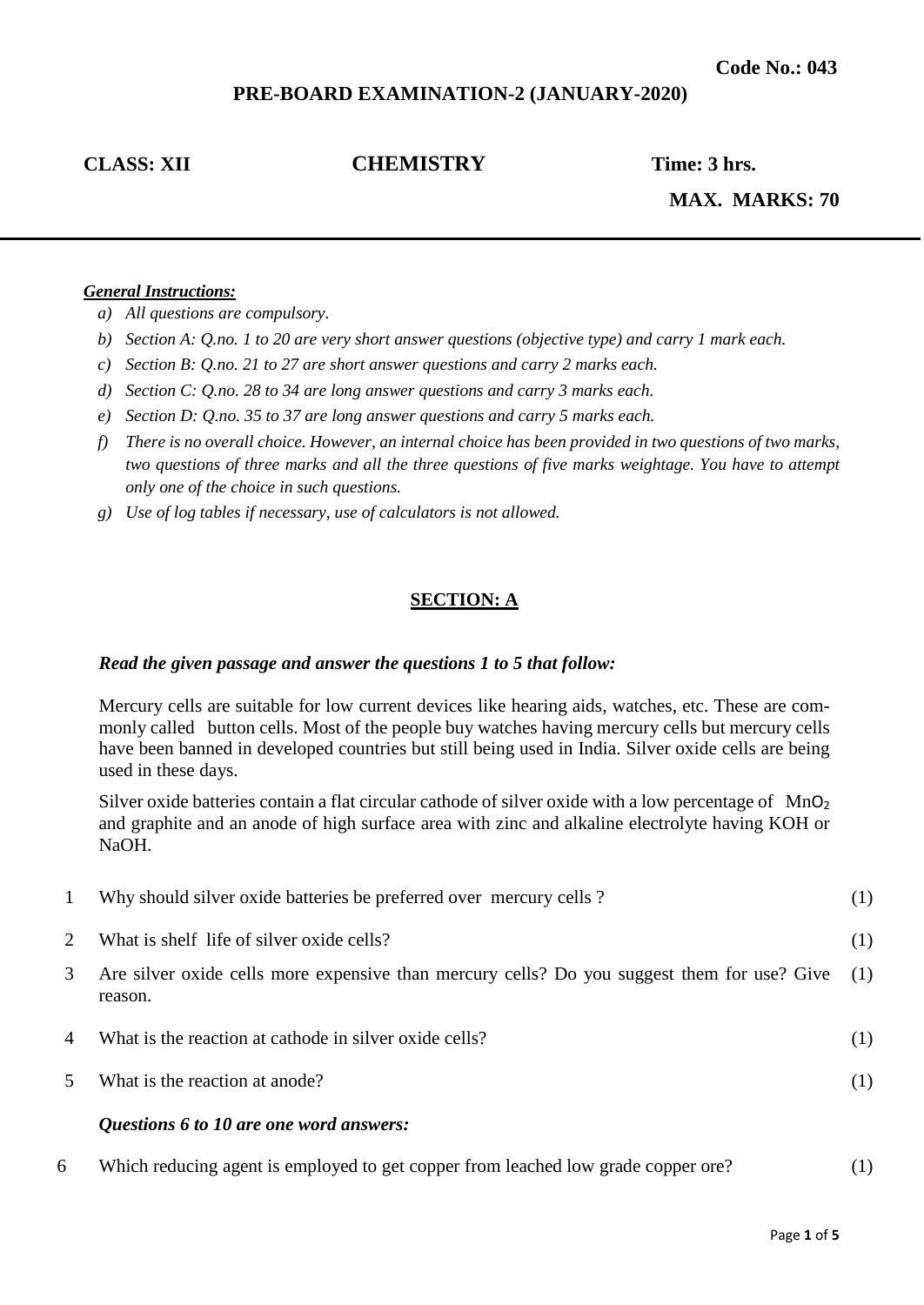# **PRE-BOARD EXAMINATION-2 (JANUARY-2020)**

# **CLASS: XII CHEMISTRY Time: 3 hrs.**

**MAX. MARKS: 70**

#### *General Instructions:*

- *a) All questions are compulsory.*
- *b) Section A: Q.no. 1 to 20 are very short answer questions (objective type) and carry 1 mark each.*
- *c) Section B: Q.no. 21 to 27 are short answer questions and carry 2 marks each.*
- *d) Section C: Q.no. 28 to 34 are long answer questions and carry 3 marks each.*
- *e) Section D: Q.no. 35 to 37 are long answer questions and carry 5 marks each.*
- *f) There is no overall choice. However, an internal choice has been provided in two questions of two marks, two questions of three marks and all the three questions of five marks weightage. You have to attempt only one of the choice in such questions.*
- *g) Use of log tables if necessary, use of calculators is not allowed.*

## **SECTION: A**

#### *Read the given passage and answer the questions 1 to 5 that follow:*

Mercury cells are suitable for low current devices like hearing aids, watches, etc. These are commonly called button cells. Most of the people buy watches having mercury cells but mercury cells have been banned in developed countries but still being used in India. Silver oxide cells are being used in these days.

Silver oxide batteries contain a flat circular cathode of silver oxide with a low percentage of MnO<sub>2</sub> and graphite and an anode of high surface area with zinc and alkaline electrolyte having KOH or NaOH.

|                         | Questions 6 to 10 are one word answers:                                                                |     |
|-------------------------|--------------------------------------------------------------------------------------------------------|-----|
| $\overline{\mathbf{5}}$ | What is the reaction at anode?                                                                         | (1) |
| 4                       | What is the reaction at cathode in silver oxide cells?                                                 | (1) |
| 3                       | Are silver oxide cells more expensive than mercury cells? Do you suggest them for use? Give<br>reason. | (1) |
| $\mathcal{D}_{\cdot}$   | What is shelf life of silver oxide cells?                                                              | (1) |
|                         | Why should silver oxide batteries be preferred over mercury cells?                                     | (1) |

6 Which reducing agent is employed to get copper from leached low grade copper ore? (1)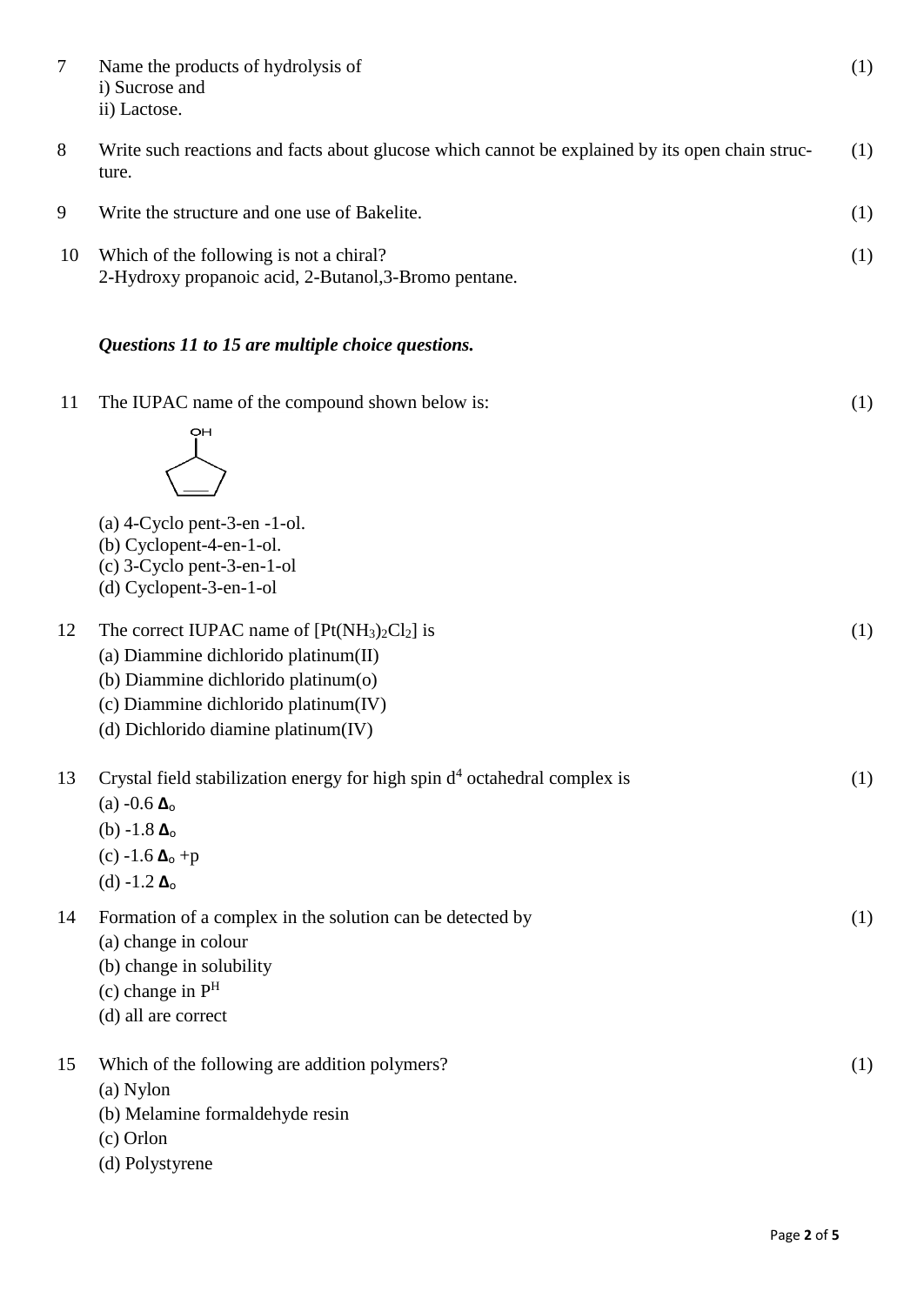| 7  | Name the products of hydrolysis of<br>i) Sucrose and<br>ii) Lactose.                                                                                                                                       | (1) |
|----|------------------------------------------------------------------------------------------------------------------------------------------------------------------------------------------------------------|-----|
| 8  | Write such reactions and facts about glucose which cannot be explained by its open chain struc-<br>ture.                                                                                                   | (1) |
| 9  | Write the structure and one use of Bakelite.                                                                                                                                                               | (1) |
| 10 | Which of the following is not a chiral?<br>2-Hydroxy propanoic acid, 2-Butanol, 3-Bromo pentane.                                                                                                           | (1) |
|    | Questions 11 to 15 are multiple choice questions.                                                                                                                                                          |     |
| 11 | The IUPAC name of the compound shown below is:<br>OH                                                                                                                                                       | (1) |
|    | $(a)$ 4-Cyclo pent-3-en -1-ol.<br>(b) Cyclopent-4-en-1-ol.<br>(c) 3-Cyclo pent-3-en-1-ol<br>(d) Cyclopent-3-en-1-ol                                                                                        |     |
| 12 | The correct IUPAC name of $[Pt(NH3)2Cl2]$ is<br>(a) Diammine dichlorido platinum(II)<br>(b) Diammine dichlorido platinum(o)<br>(c) Diammine dichlorido platinum(IV)<br>(d) Dichlorido diamine platinum(IV) | (1) |
| 13 | Crystal field stabilization energy for high spin $d4$ octahedral complex is<br>(a) $-0.6 \Delta_0$<br>(b) $-1.8 \Delta_0$<br>(c) -1.6 $\Delta_0$ +p<br>(d) $-1.2 \Delta_0$                                 | (1) |
| 14 | Formation of a complex in the solution can be detected by<br>(a) change in colour<br>(b) change in solubility<br>(c) change in $PH$<br>(d) all are correct                                                 | (1) |
| 15 | Which of the following are addition polymers?<br>(a) Nylon<br>(b) Melamine formaldehyde resin<br>(c) Orlon<br>(d) Polystyrene                                                                              | (1) |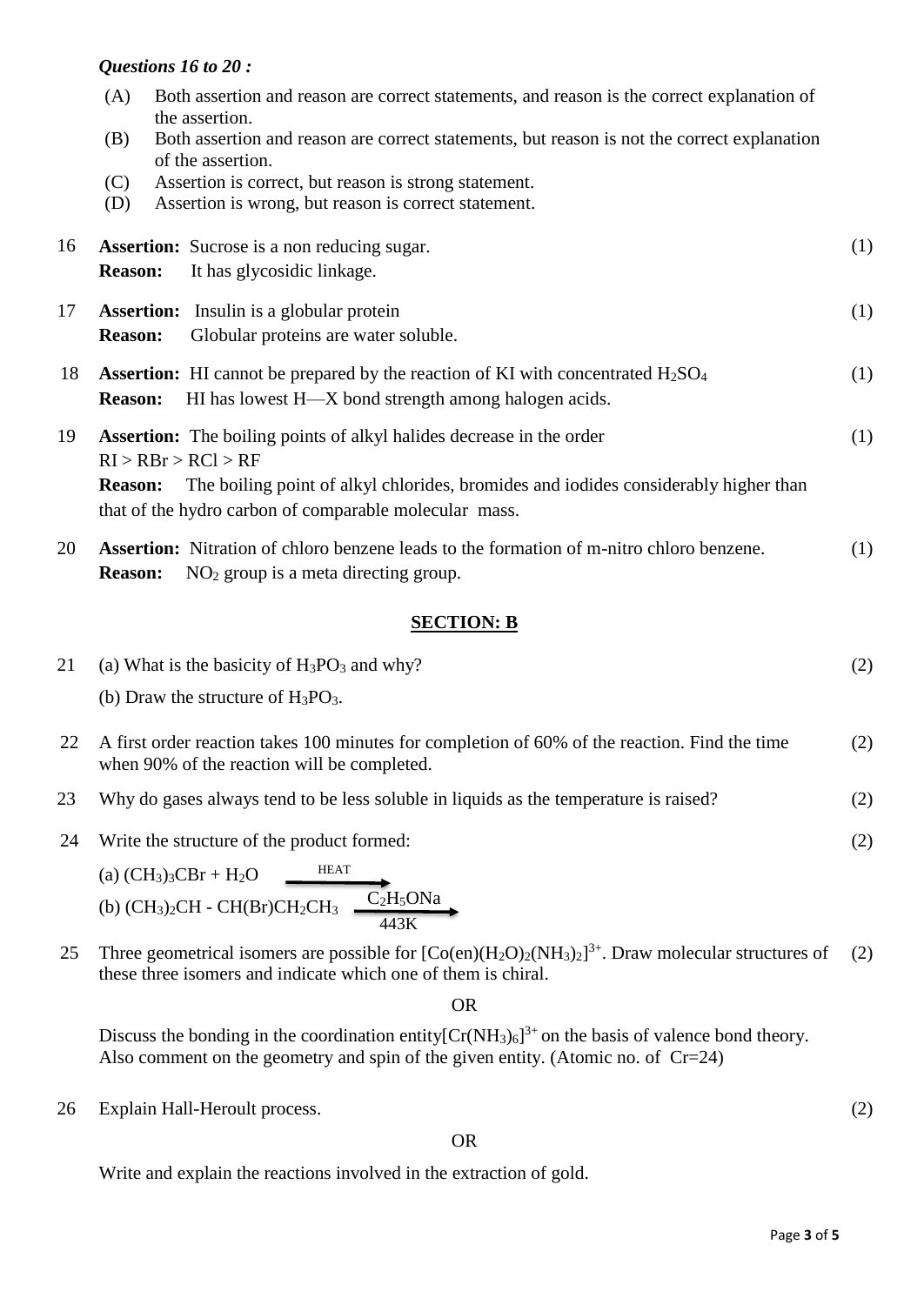## *Questions 16 to 20 :*

|    | (A)            | Both assertion and reason are correct statements, and reason is the correct explanation of<br>the assertion.                                      |     |
|----|----------------|---------------------------------------------------------------------------------------------------------------------------------------------------|-----|
|    | (B)            | Both assertion and reason are correct statements, but reason is not the correct explanation<br>of the assertion.                                  |     |
|    | (C)<br>(D)     | Assertion is correct, but reason is strong statement.<br>Assertion is wrong, but reason is correct statement.                                     |     |
| 16 | <b>Reason:</b> | <b>Assertion:</b> Sucrose is a non reducing sugar.<br>It has glycosidic linkage.                                                                  | (1) |
| 17 | <b>Reason:</b> | <b>Assertion:</b> Insulin is a globular protein<br>Globular proteins are water soluble.                                                           | (1) |
| 18 | <b>Reason:</b> | <b>Assertion:</b> HI cannot be prepared by the reaction of KI with concentrated $H_2SO_4$<br>HI has lowest H—X bond strength among halogen acids. | (1) |
| 19 |                | <b>Assertion:</b> The boiling points of alkyl halides decrease in the order<br>RI > RBr > RCl > RF                                                | (1) |
|    | <b>Reason:</b> | The boiling point of alkyl chlorides, bromides and iodides considerably higher than<br>that of the hydro carbon of comparable molecular mass.     |     |
| 20 | <b>Reason:</b> | <b>Assertion:</b> Nitration of chloro benzene leads to the formation of m-nitro chloro benzene.<br>$NO2$ group is a meta directing group.         | (1) |

## **SECTION: B**

| 21 (a) What is the basicity of $H_3PO_3$ and why? | (2) |
|---------------------------------------------------|-----|
| (b) Draw the structure of $H_3PO_3$ .             |     |
|                                                   |     |

- 22 A first order reaction takes 100 minutes for completion of 60% of the reaction. Find the time when 90% of the reaction will be completed. (2)
- 23 Why do gases always tend to be less soluble in liquids as the temperature is raised? (2)
- 24 Write the structure of the product formed:

(a) 
$$
(CH_3)_3CBr + H_2O
$$
  
\n(b)  $(CH_3)_2CH - CH(Br)CH_2CH_3$   
\n $443K$ 

25 Three geometrical isomers are possible for  $[Co(en)(H_2O)_2(NH_3)_2]^{3+}$ . Draw molecular structures of these three isomers and indicate which one of them is chiral. (2)

OR

Discuss the bonding in the coordination entity  $[Cr(NH_3)_6]^{3+}$  on the basis of valence bond theory. Also comment on the geometry and spin of the given entity. (Atomic no. of Cr=24)

26 Explain Hall-Heroult process.

OR

Write and explain the reactions involved in the extraction of gold.

(2)

(2)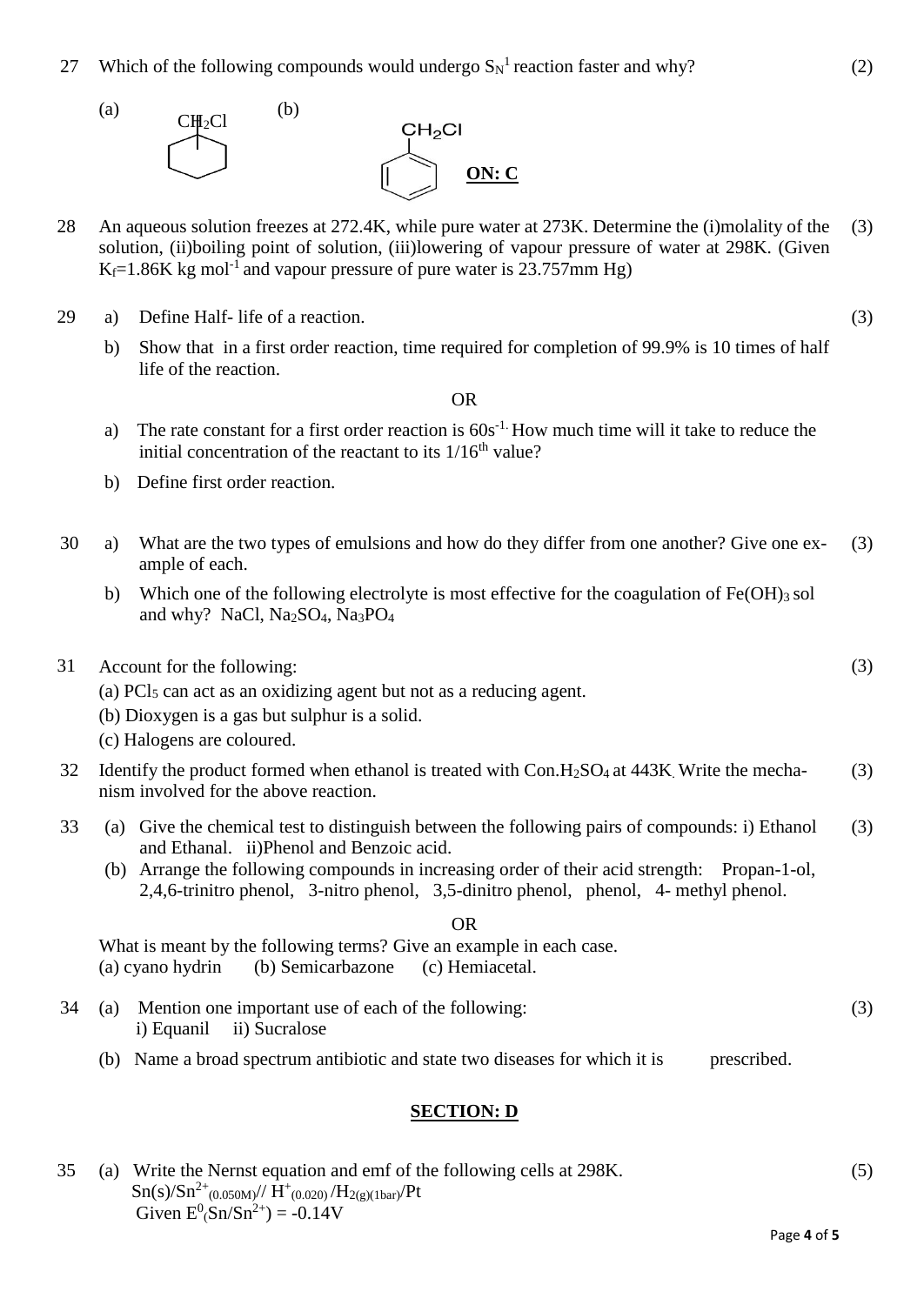27 Which of the following compounds would undergo  $S_N^{-1}$  reaction faster and why?



- 28 An aqueous solution freezes at 272.4K, while pure water at 273K. Determine the (i)molality of the solution, (ii)boiling point of solution, (iii)lowering of vapour pressure of water at 298K. (Given  $K_f=1.86K$  kg mol<sup>-1</sup> and vapour pressure of pure water is 23.757mm Hg) (3)
- 29 a) Define Half- life of a reaction.
	- b) Show that in a first order reaction, time required for completion of 99.9% is 10 times of half life of the reaction.

OR

- a) The rate constant for a first order reaction is  $60s^{-1}$ . How much time will it take to reduce the initial concentration of the reactant to its  $1/16<sup>th</sup>$  value?
- b) Define first order reaction.
- 30 a) What are the two types of emulsions and how do they differ from one another? Give one example of each. (3)
	- b) Which one of the following electrolyte is most effective for the coagulation of  $Fe(OH)_{3}$  sol and why? NaCl, Na2SO4, Na3PO<sup>4</sup>
- 31 Account for the following:
	- (a)  $PCl<sub>5</sub>$  can act as an oxidizing agent but not as a reducing agent.
	- (b) Dioxygen is a gas but sulphur is a solid.
	- (c) Halogens are coloured.
- 32 Identify the product formed when ethanol is treated with  $Con.H<sub>2</sub>SO<sub>4</sub>$  at 443K. Write the mechanism involved for the above reaction. (3)
- 33 (a) Give the chemical test to distinguish between the following pairs of compounds: i) Ethanol and Ethanal. ii)Phenol and Benzoic acid. (3)
	- (b) Arrange the following compounds in increasing order of their acid strength: Propan-1-ol, 2,4,6-trinitro phenol, 3-nitro phenol, 3,5-dinitro phenol, phenol, 4- methyl phenol.

OR

What is meant by the following terms? Give an example in each case. (a) cyano hydrin (b) Semicarbazone (c) Hemiacetal.

- 34 (a) Mention one important use of each of the following: i) Equanil ii) Sucralose (3)
	- (b) Name a broad spectrum antibiotic and state two diseases for which it is prescribed.

## **SECTION: D**

35 (a) Write the Nernst equation and emf of the following cells at 298K.  $\text{Sn(s)/Sn}^{2+}(0.050\text{M})// \text{H}^{+}(0.020) / \text{H}_{2(g)(1 \text{bar})}/ \text{Pt}$ Given  $E^0(Sn/Sn^{2+}) = -0.14V$ (5)

(3)

(3)